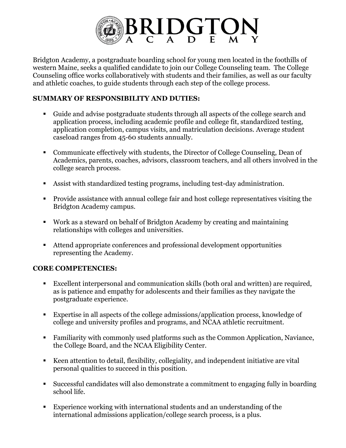

Bridgton Academy, a postgraduate boarding school for young men located in the foothills of western Maine, seeks a qualified candidate to join our College Counseling team. The College Counseling office works collaboratively with students and their families, as well as our faculty and athletic coaches, to guide students through each step of the college process.

## **SUMMARY OF RESPONSIBILITY AND DUTIES:**

- § Guide and advise postgraduate students through all aspects of the college search and application process, including academic profile and college fit, standardized testing, application completion, campus visits, and matriculation decisions. Average student caseload ranges from 45-60 students annually.
- Communicate effectively with students, the Director of College Counseling, Dean of Academics, parents, coaches, advisors, classroom teachers, and all others involved in the college search process.
- Assist with standardized testing programs, including test-day administration.
- Provide assistance with annual college fair and host college representatives visiting the Bridgton Academy campus.
- § Work as a steward on behalf of Bridgton Academy by creating and maintaining relationships with colleges and universities.
- Attend appropriate conferences and professional development opportunities representing the Academy.

## **CORE COMPETENCIES:**

- Excellent interpersonal and communication skills (both oral and written) are required, as is patience and empathy for adolescents and their families as they navigate the postgraduate experience.
- Expertise in all aspects of the college admissions/application process, knowledge of college and university profiles and programs, and NCAA athletic recruitment.
- Familiarity with commonly used platforms such as the Common Application, Naviance, the College Board, and the NCAA Eligibility Center.
- Keen attention to detail, flexibility, collegiality, and independent initiative are vital personal qualities to succeed in this position.
- § Successful candidates will also demonstrate a commitment to engaging fully in boarding school life.
- Experience working with international students and an understanding of the international admissions application/college search process, is a plus.